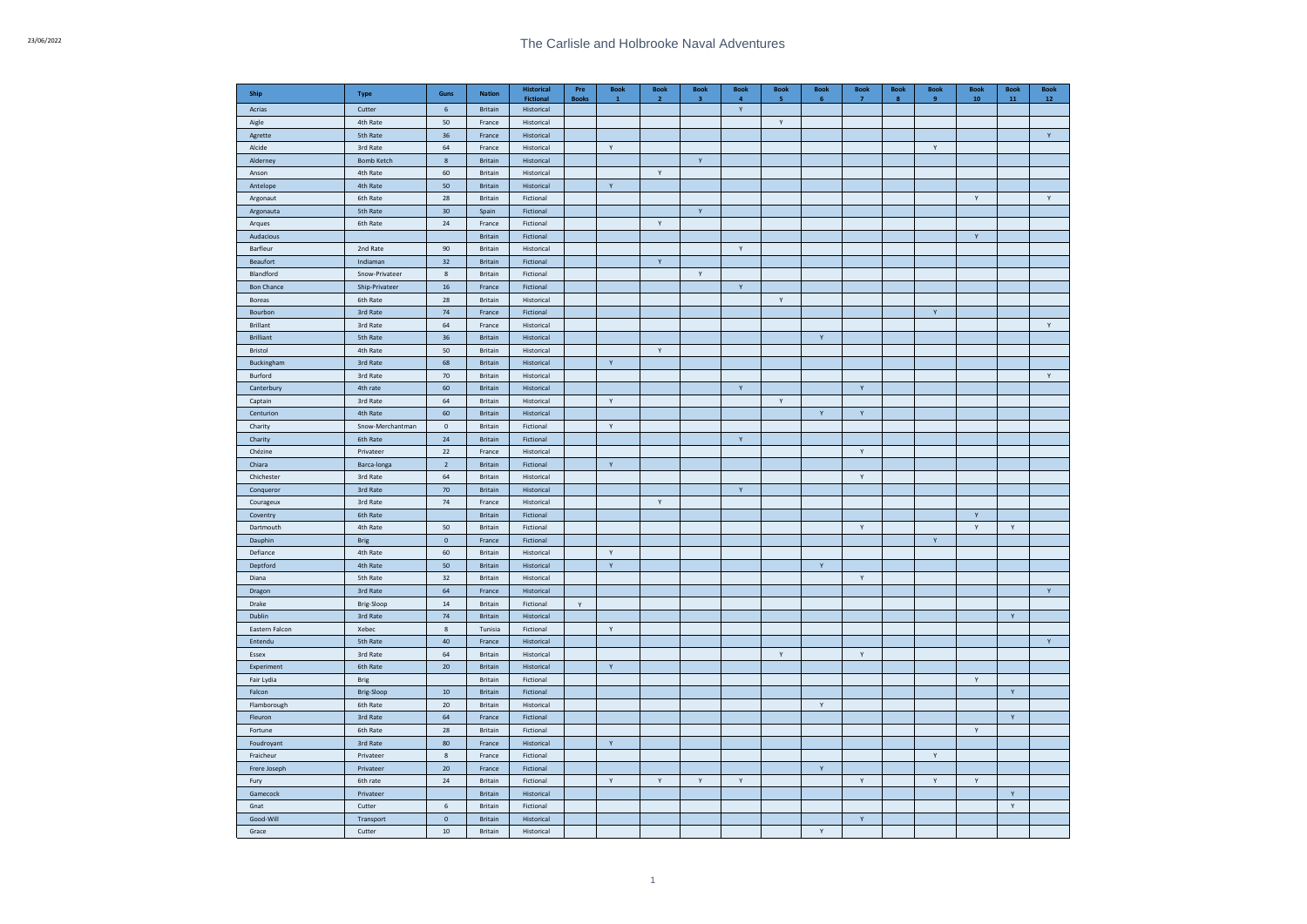| Ship                    | Type              | Guns             | <b>Nation</b>    | <b>Historical</b><br><b>Fictional</b> | Pre<br><b>Books</b> | <b>Book</b><br>$\mathbf{1}$ | <b>Book</b><br>$\overline{\mathbf{2}}$ | <b>Book</b><br>3 | <b>Book</b>  | <b>Book</b><br>5 | <b>Book</b><br>6 | <b>Book</b><br>$\overline{7}$ | <b>Book</b><br>8 | <b>Book</b><br>9 | <b>Book</b><br>10 | <b>Book</b><br>${\bf 11}$ | <b>Book</b><br>${\bf 12}$ |
|-------------------------|-------------------|------------------|------------------|---------------------------------------|---------------------|-----------------------------|----------------------------------------|------------------|--------------|------------------|------------------|-------------------------------|------------------|------------------|-------------------|---------------------------|---------------------------|
| Acrias                  | Cutter            | - 6              | <b>Britain</b>   | Historical                            |                     |                             |                                        |                  | $\mathsf{Y}$ |                  |                  |                               |                  |                  |                   |                           |                           |
| Aigle                   | 4th Rate          | 50               | France           | Historical                            |                     |                             |                                        |                  |              | Y                |                  |                               |                  |                  |                   |                           |                           |
| Agrette                 | 5th Rate          | 36               | France           | Historical                            |                     |                             |                                        |                  |              |                  |                  |                               |                  |                  |                   |                           | Y                         |
| Alcide                  | 3rd Rate          | 64               | France           | Historical                            |                     | Y                           |                                        |                  |              |                  |                  |                               |                  | Y                |                   |                           |                           |
| Alderney                | <b>Bomb Ketch</b> | $\boldsymbol{8}$ | Britain          | Historical                            |                     |                             |                                        | $\mathsf{Y}$     |              |                  |                  |                               |                  |                  |                   |                           |                           |
| Anson                   | 4th Rate          | 60               | Britain          | Historical                            |                     |                             | $\mathsf{Y}$                           |                  |              |                  |                  |                               |                  |                  |                   |                           |                           |
| Antelope                | 4th Rate          | 50               | Britain          | Historical                            |                     | Y                           |                                        |                  |              |                  |                  |                               |                  |                  |                   |                           |                           |
| Argonaut                | 6th Rate          | 28               | Britain          | Fictional                             |                     |                             |                                        |                  |              |                  |                  |                               |                  |                  | Υ                 |                           | $\mathsf{Y}$              |
| Argonauta               | 5th Rate          | 30               | Spain            | Fictional                             |                     |                             |                                        | Y                |              |                  |                  |                               |                  |                  |                   |                           |                           |
| Arques                  | 6th Rate          | 24               | France           | Fictional                             |                     |                             | Y                                      |                  |              |                  |                  |                               |                  |                  |                   |                           |                           |
| Audacious               |                   |                  | Britain          | Fictional                             |                     |                             |                                        |                  |              |                  |                  |                               |                  |                  | Υ                 |                           |                           |
| Barfleur                | 2nd Rate          | 90               | Britain          | Historical                            |                     |                             |                                        |                  | Y            |                  |                  |                               |                  |                  |                   |                           |                           |
| Beaufort                | Indiaman          | 32               | Britain          | Fictional                             |                     |                             | Y                                      |                  |              |                  |                  |                               |                  |                  |                   |                           |                           |
| Blandford               | Snow-Privateer    | 8                | Britain          | Fictional                             |                     |                             |                                        | Y                |              |                  |                  |                               |                  |                  |                   |                           |                           |
| <b>Bon Chance</b>       | Ship-Privateer    | 16               | France           | Fictional                             |                     |                             |                                        |                  | Y            |                  |                  |                               |                  |                  |                   |                           |                           |
| Boreas                  | 6th Rate          | 28               | Britain          | Historical                            |                     |                             |                                        |                  |              | γ                |                  |                               |                  |                  |                   |                           |                           |
| Bourbon                 | 3rd Rate          | 74               | France           | Fictional                             |                     |                             |                                        |                  |              |                  |                  |                               |                  | Y                |                   |                           |                           |
| <b>Brillant</b>         | 3rd Rate          | 64               | France           | Historical                            |                     |                             |                                        |                  |              |                  |                  |                               |                  |                  |                   |                           | $\mathsf{Y}$              |
| <b>Brilliant</b>        | 5th Rate          | 36               | Britain          | Historical                            |                     |                             |                                        |                  |              |                  | Y                |                               |                  |                  |                   |                           |                           |
| Bristol                 | 4th Rate          | 50               | Britain          | Historical                            |                     |                             | Y                                      |                  |              |                  |                  |                               |                  |                  |                   |                           |                           |
| Buckingham              | 3rd Rate          | 68               | Britain          | Historical                            |                     | $\mathsf{Y}$                |                                        |                  |              |                  |                  |                               |                  |                  |                   |                           |                           |
| Burford                 | 3rd Rate          | 70               | Britain          | Historical                            |                     |                             |                                        |                  |              |                  |                  |                               |                  |                  |                   |                           | Y                         |
| Canterbury              | 4th rate          | 60               | Britain          | Historical                            |                     |                             |                                        |                  | Ÿ            |                  |                  | Υ                             |                  |                  |                   |                           |                           |
| Captain                 | 3rd Rate          | 64               | Britain          | Historical                            |                     | Y                           |                                        |                  |              | Y                |                  |                               |                  |                  |                   |                           |                           |
| Centurion               | 4th Rate          | 60               | Britain          | Historical                            |                     |                             |                                        |                  |              |                  | $\mathbf{Y}$     | $\mathsf{Y}$                  |                  |                  |                   |                           |                           |
| Charity                 | Snow-Merchantman  | $\mathbf{0}$     | Britain          | Fictional                             |                     | Y                           |                                        |                  |              |                  |                  |                               |                  |                  |                   |                           |                           |
| Charity                 | 6th Rate          | 24               | <b>Britain</b>   | Fictional                             |                     |                             |                                        |                  | Ÿ            |                  |                  |                               |                  |                  |                   |                           |                           |
| Chézine                 | Privateer         | 22               | France           | Historical                            |                     |                             |                                        |                  |              |                  |                  | $\mathsf{Y}$                  |                  |                  |                   |                           |                           |
| Chiara                  | Barca-longa       | $\overline{2}$   | Britain          | Fictional                             |                     | $\mathbf Y$                 |                                        |                  |              |                  |                  |                               |                  |                  |                   |                           |                           |
| Chichester              | 3rd Rate          | 64               | Britain          | Historical                            |                     |                             |                                        |                  |              |                  |                  | $\mathsf{Y}$                  |                  |                  |                   |                           |                           |
| Conqueror               | 3rd Rate          | 70               | <b>Britain</b>   | Historical                            |                     |                             |                                        |                  | Y            |                  |                  |                               |                  |                  |                   |                           |                           |
| Courageux               | 3rd Rate          | $74\,$           | France           | Historical                            |                     |                             | Y                                      |                  |              |                  |                  |                               |                  |                  |                   |                           |                           |
| Coventry                | 6th Rate          |                  | <b>Britain</b>   | Fictional                             |                     |                             |                                        |                  |              |                  |                  |                               |                  |                  | $\mathsf{Y}$      |                           |                           |
| Dartmouth               | 4th Rate          | 50               | Britain          | Fictional                             |                     |                             |                                        |                  |              |                  |                  | Y                             |                  |                  | Υ                 | Y                         |                           |
| Dauphin                 | <b>Brig</b>       | $\mathbf 0$      | France           | Fictional                             |                     |                             |                                        |                  |              |                  |                  |                               |                  | Y                |                   |                           |                           |
| Defiance                | 4th Rate          | 60               | Britain          | Historical                            |                     | Y                           |                                        |                  |              |                  |                  |                               |                  |                  |                   |                           |                           |
| Deptford                | 4th Rate          | 50               | Britain          | Historical                            |                     | $\mathsf{Y}$                |                                        |                  |              |                  | $\mathsf{Y}$     |                               |                  |                  |                   |                           |                           |
| Diana                   | 5th Rate          | 32               | Britain          | Historical                            |                     |                             |                                        |                  |              |                  |                  | Y                             |                  |                  |                   |                           |                           |
| Dragon                  | 3rd Rate          | 64               | France           | Historical                            |                     |                             |                                        |                  |              |                  |                  |                               |                  |                  |                   |                           | $\mathsf{Y}$              |
| Drake                   | Brig-Sloop        | 14               | Britain          | Fictional                             | Y                   |                             |                                        |                  |              |                  |                  |                               |                  |                  |                   |                           |                           |
| Dublin                  | 3rd Rate          | 74               | Britain          | Historical                            |                     |                             |                                        |                  |              |                  |                  |                               |                  |                  |                   | $\mathsf{Y}$              |                           |
| Eastern Falcon          | Xebec             | $\bf{8}$         | Tunisia          | Fictional                             |                     | Y                           |                                        |                  |              |                  |                  |                               |                  |                  |                   |                           |                           |
| Entendu                 | 5th Rate          | 40               | France           | Historical                            |                     |                             |                                        |                  |              |                  |                  |                               |                  |                  |                   |                           | Y                         |
| Essex                   | 3rd Rate          | 64               | Britain          | Historical                            |                     |                             |                                        |                  |              | Y                |                  | $\mathsf{Y}$                  |                  |                  |                   |                           |                           |
| Experiment              | 6th Rate          | 20               | Britain          | Historical                            |                     | $\mathsf{Y}$                |                                        |                  |              |                  |                  |                               |                  |                  |                   |                           |                           |
| Fair Lydia              | Brig              |                  | Britain          | Fictional                             |                     |                             |                                        |                  |              |                  |                  |                               |                  |                  | Υ                 |                           |                           |
| Falcon                  | Brig-Sloop        | 10               | Britain          | Fictional                             |                     |                             |                                        |                  |              |                  |                  |                               |                  |                  |                   | $\mathsf{Y}$              |                           |
| Flamborough             | 6th Rate          | 20               | Britain          | Historical                            |                     |                             |                                        |                  |              |                  | $\mathsf{Y}$     |                               |                  |                  |                   |                           |                           |
| Fleuron                 | 3rd Rate          | 64               | France           | Fictional                             |                     |                             |                                        |                  |              |                  |                  |                               |                  |                  |                   | $\mathsf{Y}$              |                           |
| Fortune                 | 6th Rate          | 28               | Britain          | Fictional                             |                     |                             |                                        |                  |              |                  |                  |                               |                  |                  | Y                 |                           |                           |
|                         | 3rd Rate          | 80               |                  |                                       |                     | $\mathsf{Y}$                |                                        |                  |              |                  |                  |                               |                  |                  |                   |                           |                           |
| Foudroyant<br>Fraicheur | Privateer         | $\bf{8}$         | France<br>France | Historical<br>Fictional               |                     |                             |                                        |                  |              |                  |                  |                               |                  | $\mathsf{Y}$     |                   |                           |                           |
|                         | Privateer         | 20               | France           | Fictional                             |                     |                             |                                        |                  |              |                  | $\mathsf{Y}$     |                               |                  |                  |                   |                           |                           |
| Frere Joseph            |                   |                  |                  |                                       |                     |                             |                                        |                  |              |                  |                  |                               |                  |                  |                   |                           |                           |
| Fury                    | 6th rate          | 24               | <b>Britain</b>   | Fictional                             |                     | Y                           | Y                                      | $\mathsf{Y}$     | Υ            |                  |                  | Y                             |                  | Υ                | Υ                 |                           |                           |
| Gamecock                | Privateer         |                  | <b>Britain</b>   | Historical                            |                     |                             |                                        |                  |              |                  |                  |                               |                  |                  |                   | Y                         |                           |
| Gnat                    | Cutter            | $\,$ 6 $\,$      | <b>Britain</b>   | Fictional                             |                     |                             |                                        |                  |              |                  |                  |                               |                  |                  |                   | $\mathsf{Y}$              |                           |
| Good-Will               | Transport         | $\mathbf 0$      | <b>Britain</b>   | Historical                            |                     |                             |                                        |                  |              |                  |                  | Υ                             |                  |                  |                   |                           |                           |
| Grace                   | Cutter            | 10               | <b>Britain</b>   | Historical                            |                     |                             |                                        |                  |              |                  | Y                |                               |                  |                  |                   |                           |                           |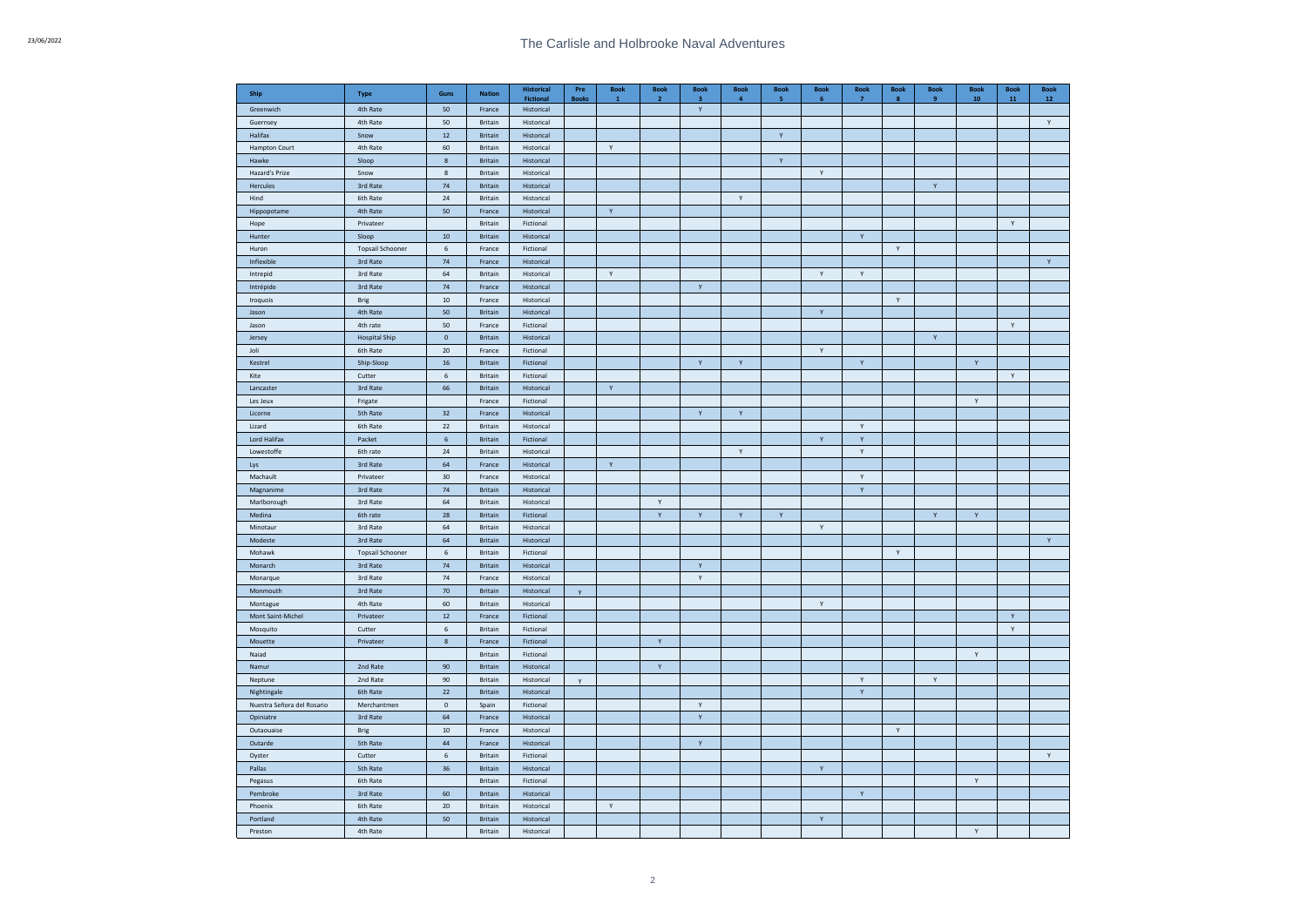| Ship                       | <b>Type</b>             | Guns        | <b>Nation</b>             | <b>Historical</b><br><b>Fictional</b> | Pre<br><b>Books</b> | <b>Book</b><br>$\mathbf{1}$ | <b>Book</b><br>$\overline{2}$ | <b>Book</b><br>з | <b>Book</b><br>4 | <b>Book</b><br>5 | <b>Book</b><br>6 | <b>Book</b><br>-7 | <b>Book</b><br>8 | <b>Book</b><br>9   | <b>Book</b><br>${\bf 10}$ | <b>Book</b><br>${\bf 11}$ | <b>Book</b><br>${\bf 12}$ |
|----------------------------|-------------------------|-------------|---------------------------|---------------------------------------|---------------------|-----------------------------|-------------------------------|------------------|------------------|------------------|------------------|-------------------|------------------|--------------------|---------------------------|---------------------------|---------------------------|
| Greenwich                  | 4th Rate                | 50          | France                    | Historical                            |                     |                             |                               | $\mathsf{Y}$     |                  |                  |                  |                   |                  |                    |                           |                           |                           |
| Guernsey                   | 4th Rate                | 50          | <b>Britain</b>            | Historical                            |                     |                             |                               |                  |                  |                  |                  |                   |                  |                    |                           |                           | $\mathsf{Y}$              |
| Halifax                    | Snow                    | $12\,$      | <b>Britain</b>            | Historical                            |                     |                             |                               |                  |                  | $\mathsf Y$      |                  |                   |                  |                    |                           |                           |                           |
| Hampton Court              | 4th Rate                | 60          | <b>Britain</b>            | Historical                            |                     | Y                           |                               |                  |                  |                  |                  |                   |                  |                    |                           |                           |                           |
| Hawke                      | Sloop                   | $\bf{8}$    | <b>Britain</b>            | Historical                            |                     |                             |                               |                  |                  | $\mathsf{Y}$     |                  |                   |                  |                    |                           |                           |                           |
| Hazard's Prize             | Snow                    | $\,$ 8      | Britain                   | Historical                            |                     |                             |                               |                  |                  |                  | $\mathsf{Y}$     |                   |                  |                    |                           |                           |                           |
| Hercules                   | 3rd Rate                | $74\,$      | <b>Britain</b>            | Historical                            |                     |                             |                               |                  |                  |                  |                  |                   |                  | Υ                  |                           |                           |                           |
| Hind                       | 6th Rate                | ${\bf 24}$  | Britain                   | Historical                            |                     |                             |                               |                  | Υ                |                  |                  |                   |                  |                    |                           |                           |                           |
| Hippopotame                | 4th Rate                | $50\,$      | France                    | Historical                            |                     | Υ                           |                               |                  |                  |                  |                  |                   |                  |                    |                           |                           |                           |
| Hope                       | Privateer               |             | Britain                   | Fictional                             |                     |                             |                               |                  |                  |                  |                  |                   |                  |                    |                           | Y                         |                           |
| Hunter                     | Sloop                   | ${\bf 10}$  | Britain                   | Historical                            |                     |                             |                               |                  |                  |                  |                  | Y                 |                  |                    |                           |                           |                           |
| Huron                      | <b>Topsail Schooner</b> | 6           | France                    | Fictional                             |                     |                             |                               |                  |                  |                  |                  |                   | Y                |                    |                           |                           |                           |
| Inflexible                 | 3rd Rate                | $74\,$      | France                    | Historical                            |                     |                             |                               |                  |                  |                  |                  |                   |                  |                    |                           |                           | Y                         |
| Intrepid                   | 3rd Rate                | 64          | Britain                   | Historical                            |                     | Y                           |                               |                  |                  |                  | Y                | Υ                 |                  |                    |                           |                           |                           |
| Intrépide                  | 3rd Rate                | 74          | France                    | Historical                            |                     |                             |                               | Y                |                  |                  |                  |                   |                  |                    |                           |                           |                           |
| Iroquois                   | Brig                    | $10\,$      | France                    | Historical                            |                     |                             |                               |                  |                  |                  |                  |                   | Y                |                    |                           |                           |                           |
| Jason                      | 4th Rate                | $50\,$      | <b>Britain</b>            | Historical                            |                     |                             |                               |                  |                  |                  | $\mathsf{Y}$     |                   |                  |                    |                           |                           |                           |
| Jason                      | 4th rate                | $50\,$      | France                    | Fictional                             |                     |                             |                               |                  |                  |                  |                  |                   |                  |                    |                           | $\mathsf Y$               |                           |
| Jersey                     | <b>Hospital Ship</b>    | $\mathbf 0$ | <b>Britain</b>            | Historical                            |                     |                             |                               |                  |                  |                  |                  |                   |                  | $\mathsf Y$        |                           |                           |                           |
| Joli                       | 6th Rate                | 20          | France                    | Fictional                             |                     |                             |                               |                  |                  |                  | $\mathsf{Y}$     |                   |                  |                    |                           |                           |                           |
| Kestrel                    | Ship-Sloop              | $16\,$      | <b>Britain</b>            | Fictional                             |                     |                             |                               | $\mathsf{Y}$     | $\mathsf{Y}$     |                  |                  | $\mathsf{Y}$      |                  |                    | $\mathsf{Y}$              |                           |                           |
| Kite                       | Cutter                  | $\,$ 6 $\,$ | Britain                   | Fictional                             |                     |                             |                               |                  |                  |                  |                  |                   |                  |                    |                           | Y                         |                           |
| Lancaster                  | 3rd Rate                | 66          | <b>Britain</b>            | Historical                            |                     | $\mathbf{v}$                |                               |                  |                  |                  |                  |                   |                  |                    |                           |                           |                           |
| Les Jeux                   | Frigate                 |             | France                    | Fictional                             |                     |                             |                               |                  |                  |                  |                  |                   |                  |                    | Y                         |                           |                           |
| Licorne                    | 5th Rate                | 32          | France                    | Historical                            |                     |                             |                               | Y                | Y                |                  |                  |                   |                  |                    |                           |                           |                           |
| Lizard                     | 6th Rate                | 22          | Britain                   | Historical                            |                     |                             |                               |                  |                  |                  |                  | Y                 |                  |                    |                           |                           |                           |
| Lord Halifax               | Packet                  | $\,$ 6 $\,$ | <b>Britain</b>            | <b>Fictional</b>                      |                     |                             |                               |                  |                  |                  | $\mathbf{Y}$     | Y                 |                  |                    |                           |                           |                           |
| Lowestoffe                 | 6th rate                | 24          | Britain                   | Historical                            |                     |                             |                               |                  | Y                |                  |                  | $\mathsf{Y}$      |                  |                    |                           |                           |                           |
| Lys                        | 3rd Rate                | 64          | France                    | Historical                            |                     | $\mathbf Y$                 |                               |                  |                  |                  |                  |                   |                  |                    |                           |                           |                           |
| Machault                   | Privateer               | $30\,$      | France                    | Historical                            |                     |                             |                               |                  |                  |                  |                  | Y                 |                  |                    |                           |                           |                           |
| Magnanime                  | 3rd Rate                | 74          | <b>Britain</b>            | Historical                            |                     |                             |                               |                  |                  |                  |                  | Y                 |                  |                    |                           |                           |                           |
| Marlborough                | 3rd Rate                | 64          | Britain                   | Historical                            |                     |                             | Y                             |                  |                  |                  |                  |                   |                  |                    |                           |                           |                           |
|                            |                         | ${\bf 28}$  |                           |                                       |                     |                             | Υ                             | Y                | $\mathbf Y$      | $\mathsf{Y}$     |                  |                   |                  | $\bar{\mathbf{Y}}$ | Y                         |                           |                           |
| Medina                     | 6th rate<br>3rd Rate    | 64          | <b>Britain</b><br>Britain | Fictional<br>Historical               |                     |                             |                               |                  |                  |                  | $\mathsf{Y}$     |                   |                  |                    |                           |                           |                           |
| Minotaur                   |                         | 64          | <b>Britain</b>            |                                       |                     |                             |                               |                  |                  |                  |                  |                   |                  |                    |                           |                           | $\mathsf{Y}$              |
| Modeste<br>Mohawk          | 3rd Rate                | $\,$ 6 $\,$ | Britain                   | Historical<br>Fictional               |                     |                             |                               |                  |                  |                  |                  |                   | $\mathsf{Y}$     |                    |                           |                           |                           |
|                            | <b>Topsail Schooner</b> |             |                           |                                       |                     |                             |                               | Y                |                  |                  |                  |                   |                  |                    |                           |                           |                           |
| Monarch                    | 3rd Rate                | 74          | <b>Britain</b>            | Historical                            |                     |                             |                               |                  |                  |                  |                  |                   |                  |                    |                           |                           |                           |
| Monarque                   | 3rd Rate                | $74\,$      | France                    | Historical                            |                     |                             |                               | Y                |                  |                  |                  |                   |                  |                    |                           |                           |                           |
| Monmouth                   | 3rd Rate                | 70          | <b>Britain</b>            | Historical                            | $\mathbf{v}$        |                             |                               |                  |                  |                  |                  |                   |                  |                    |                           |                           |                           |
| Montague                   | 4th Rate                | $60\,$      | Britain                   | Historical                            |                     |                             |                               |                  |                  |                  | Y                |                   |                  |                    |                           |                           |                           |
| Mont Saint-Michel          | Privateer               | $12\,$      | France                    | Fictional                             |                     |                             |                               |                  |                  |                  |                  |                   |                  |                    |                           | Y                         |                           |
| Mosquito                   | Cutter                  | $\,$ 6 $\,$ | Britain                   | Fictional                             |                     |                             |                               |                  |                  |                  |                  |                   |                  |                    |                           | Y                         |                           |
| Mouette                    | Privateer               | $\bf8$      | France                    | Fictional                             |                     |                             | Υ                             |                  |                  |                  |                  |                   |                  |                    |                           |                           |                           |
| Naiad                      |                         |             | Britain                   | Fictional                             |                     |                             |                               |                  |                  |                  |                  |                   |                  |                    | $\mathsf{Y}$              |                           |                           |
| Namur                      | 2nd Rate                | 90          | Britain                   | Historical                            |                     |                             | $\mathsf{Y}$                  |                  |                  |                  |                  |                   |                  |                    |                           |                           |                           |
| Neptune                    | 2nd Rate                | $90\,$      | Britain                   | Historical                            | $\mathbf{v}$        |                             |                               |                  |                  |                  |                  | Y                 |                  | Υ                  |                           |                           |                           |
| Nightingale                | 6th Rate                | $22\,$      | Britain                   | Historical                            |                     |                             |                               |                  |                  |                  |                  | Y                 |                  |                    |                           |                           |                           |
| Nuestra Señora del Rosario | Merchantmen             | $\mathbf 0$ | Spain                     | Fictional                             |                     |                             |                               | Υ                |                  |                  |                  |                   |                  |                    |                           |                           |                           |
| Opiniatre                  | 3rd Rate                | 64          | France                    | Historical                            |                     |                             |                               | Y                |                  |                  |                  |                   |                  |                    |                           |                           |                           |
| Outaouaise                 | Brig                    | 10          | France                    | Historical                            |                     |                             |                               |                  |                  |                  |                  |                   | Y                |                    |                           |                           |                           |
| Outarde                    | 5th Rate                | $44\,$      | France                    | Historical                            |                     |                             |                               | $\mathsf Y$      |                  |                  |                  |                   |                  |                    |                           |                           |                           |
| Oyster                     | Cutter                  | $\,$ 6 $\,$ | Britain                   | Fictional                             |                     |                             |                               |                  |                  |                  |                  |                   |                  |                    |                           |                           | Y                         |
| Pallas                     | 5th Rate                | 36          | Britain                   | Historical                            |                     |                             |                               |                  |                  |                  | $\mathsf{Y}$     |                   |                  |                    |                           |                           |                           |
| Pegasus                    | 6th Rate                |             | <b>Britain</b>            | Fictional                             |                     |                             |                               |                  |                  |                  |                  |                   |                  |                    | Y                         |                           |                           |
| Pembroke                   | 3rd Rate                | 60          | <b>Britain</b>            | Historical                            |                     |                             |                               |                  |                  |                  |                  | $\mathsf{Y}$      |                  |                    |                           |                           |                           |
| Phoenix                    | 6th Rate                | 20          | <b>Britain</b>            | Historical                            |                     | $\mathsf{Y}$                |                               |                  |                  |                  |                  |                   |                  |                    |                           |                           |                           |
| Portland                   | 4th Rate                | 50          | <b>Britain</b>            | Historical                            |                     |                             |                               |                  |                  |                  | Y                |                   |                  |                    |                           |                           |                           |
| Preston                    | 4th Rate                |             | <b>Britain</b>            | Historical                            |                     |                             |                               |                  |                  |                  |                  |                   |                  |                    | Y                         |                           |                           |